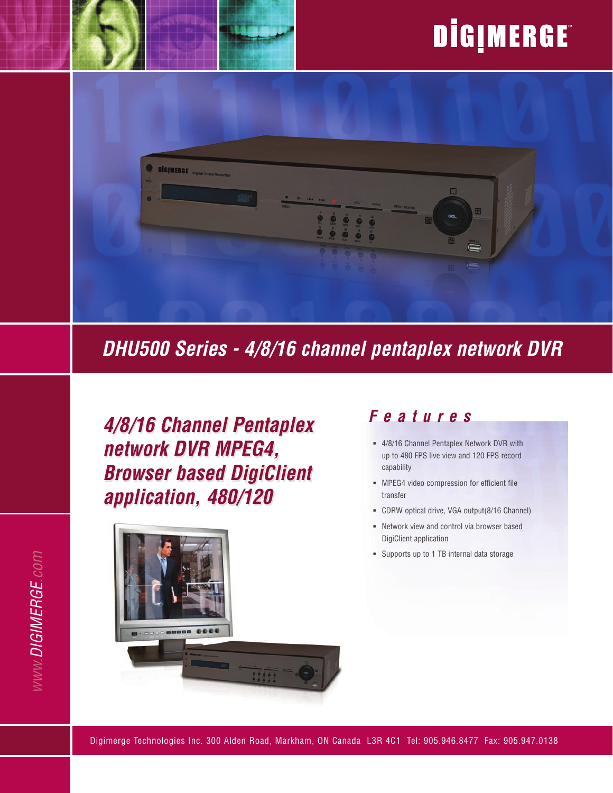# DİGIMERGE



# *DHU500 Series - 4/8/16 channel pentaplex network DVR*

*4/8/16 Channel Pentaplex network DVR MPEG4, Browser based DigiClient application, 480/120*



### *F e a t u r e s*

- 4/8/16 Channel Pentaplex Network DVR with ß up to 480 FPS live view and 120 FPS record capability
- **NPEG4** video compression for efficient file transfer
- CDRW optical drive, VGA output(8/16 Channel) ß
- **Network view and control via browser based** DigiClient application
- Supports up to 1 TB internal data storage ß